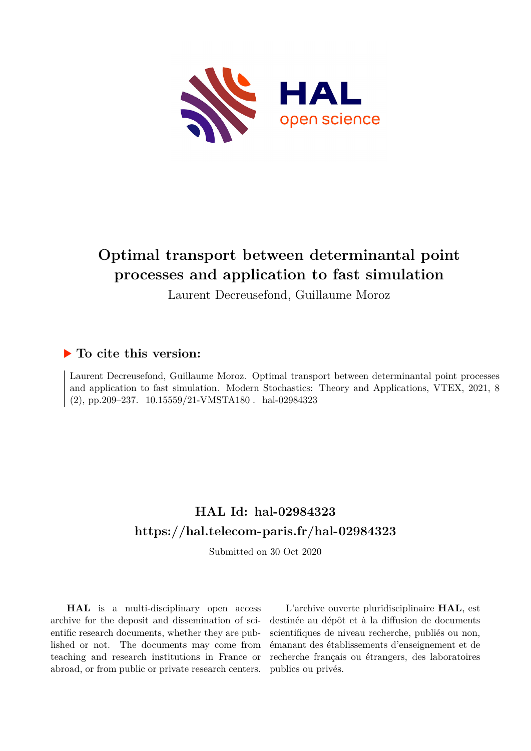

# **Optimal transport between determinantal point processes and application to fast simulation**

Laurent Decreusefond, Guillaume Moroz

## **To cite this version:**

Laurent Decreusefond, Guillaume Moroz. Optimal transport between determinantal point processes and application to fast simulation. Modern Stochastics: Theory and Applications, VTEX, 2021, 8  $(2)$ , pp.209-237. 10.15559/21-VMSTA180. hal-02984323

## **HAL Id: hal-02984323 <https://hal.telecom-paris.fr/hal-02984323>**

Submitted on 30 Oct 2020

**HAL** is a multi-disciplinary open access archive for the deposit and dissemination of scientific research documents, whether they are published or not. The documents may come from teaching and research institutions in France or abroad, or from public or private research centers.

L'archive ouverte pluridisciplinaire **HAL**, est destinée au dépôt et à la diffusion de documents scientifiques de niveau recherche, publiés ou non, émanant des établissements d'enseignement et de recherche français ou étrangers, des laboratoires publics ou privés.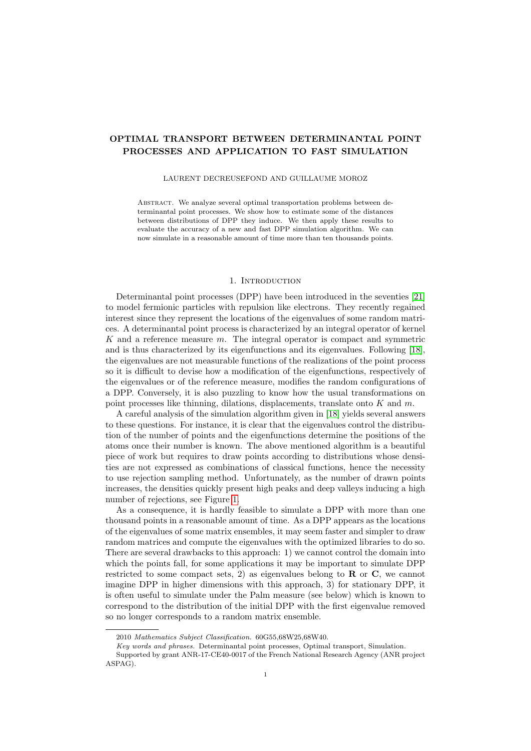### OPTIMAL TRANSPORT BETWEEN DETERMINANTAL POINT PROCESSES AND APPLICATION TO FAST SIMULATION

#### LAURENT DECREUSEFOND AND GUILLAUME MOROZ

Abstract. We analyze several optimal transportation problems between determinantal point processes. We show how to estimate some of the distances between distributions of DPP they induce. We then apply these results to evaluate the accuracy of a new and fast DPP simulation algorithm. We can now simulate in a reasonable amount of time more than ten thousands points.

#### 1. INTRODUCTION

Determinantal point processes (DPP) have been introduced in the seventies [21] to model fermionic particles with repulsion like electrons. They recently regained interest since they represent the locations of the eigenvalues of some random matrices. A determinantal point process is characterized by an integral operator of kernel K and a reference measure  $m$ . The integral operator is compact and symmetric and is thus characterized by its eigenfunctions and its eigenvalues. Following [18], the eigenvalues are not measurable functions of the realizations of the point process so it is difficult to devise how a modification of the eigenfunctions, respectively of the eigenvalues or of the reference measure, modifies the random configurations of a DPP. Conversely, it is also puzzling to know how the usual transformations on point processes like thinning, dilations, displacements, translate onto  $K$  and  $m$ .

A careful analysis of the simulation algorithm given in [18] yields several answers to these questions. For instance, it is clear that the eigenvalues control the distribution of the number of points and the eigenfunctions determine the positions of the atoms once their number is known. The above mentioned algorithm is a beautiful piece of work but requires to draw points according to distributions whose densities are not expressed as combinations of classical functions, hence the necessity to use rejection sampling method. Unfortunately, as the number of drawn points increases, the densities quickly present high peaks and deep valleys inducing a high number of rejections, see Figure 1.

As a consequence, it is hardly feasible to simulate a DPP with more than one thousand points in a reasonable amount of time. As a DPP appears as the locations of the eigenvalues of some matrix ensembles, it may seem faster and simpler to draw random matrices and compute the eigenvalues with the optimized libraries to do so. There are several drawbacks to this approach: 1) we cannot control the domain into which the points fall, for some applications it may be important to simulate DPP restricted to some compact sets, 2) as eigenvalues belong to  **or**  $**C**$ **, we cannot** imagine DPP in higher dimensions with this approach, 3) for stationary DPP, it is often useful to simulate under the Palm measure (see below) which is known to correspond to the distribution of the initial DPP with the first eigenvalue removed so no longer corresponds to a random matrix ensemble.

<sup>2010</sup> Mathematics Subject Classification. 60G55,68W25,68W40.

Key words and phrases. Determinantal point processes, Optimal transport, Simulation.

Supported by grant ANR-17-CE40-0017 of the French National Research Agency (ANR project ASPAG).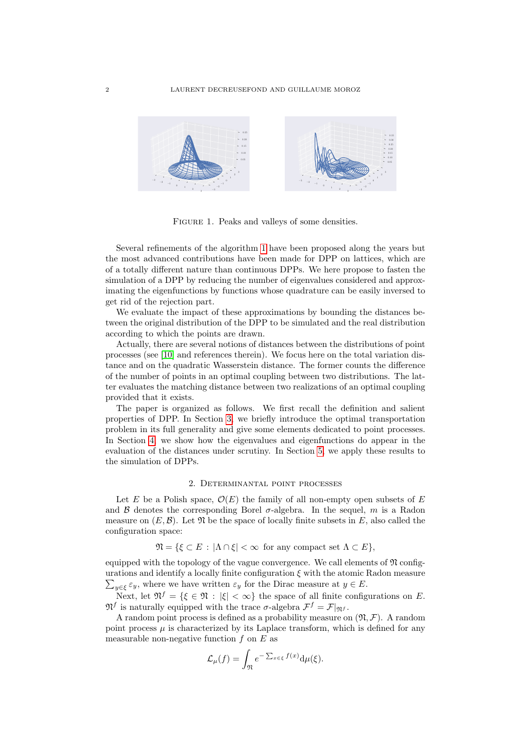

FIGURE 1. Peaks and valleys of some densities.

Several refinements of the algorithm 1 have been proposed along the years but the most advanced contributions have been made for DPP on lattices, which are of a totally different nature than continuous DPPs. We here propose to fasten the simulation of a DPP by reducing the number of eigenvalues considered and approximating the eigenfunctions by functions whose quadrature can be easily inversed to get rid of the rejection part.

We evaluate the impact of these approximations by bounding the distances between the original distribution of the DPP to be simulated and the real distribution according to which the points are drawn.

Actually, there are several notions of distances between the distributions of point processes (see [10] and references therein). We focus here on the total variation distance and on the quadratic Wasserstein distance. The former counts the difference of the number of points in an optimal coupling between two distributions. The latter evaluates the matching distance between two realizations of an optimal coupling provided that it exists.

The paper is organized as follows. We first recall the definition and salient properties of DPP. In Section 3, we briefly introduce the optimal transportation problem in its full generality and give some elements dedicated to point processes. In Section 4, we show how the eigenvalues and eigenfunctions do appear in the evaluation of the distances under scrutiny. In Section 5, we apply these results to the simulation of DPPs.

#### 2. Determinantal point processes

Let E be a Polish space,  $\mathcal{O}(E)$  the family of all non-empty open subsets of E and B denotes the corresponding Borel  $\sigma$ -algebra. In the sequel, m is a Radon measure on  $(E, \mathcal{B})$ . Let  $\mathfrak N$  be the space of locally finite subsets in E, also called the configuration space:

$$
\mathfrak{N} = \{ \xi \subset E : |\Lambda \cap \xi| < \infty \text{ for any compact set } \Lambda \subset E \},
$$

equipped with the topology of the vague convergence. We call elements of  $\mathfrak N$  configurations and identify a locally finite configuration  $\xi$  with the atomic Radon measure  $\sum_{y \in \xi} \varepsilon_y$ , where we have written  $\varepsilon_y$  for the Dirac measure at  $y \in E$ .

Next, let  $\mathfrak{N}^f = \{ \xi \in \mathfrak{N} : |\xi| < \infty \}$  the space of all finite configurations on E.  $\mathfrak{N}^f$  is naturally equipped with the trace  $\sigma$ -algebra  $\mathcal{F}^f = \mathcal{F}|_{\mathfrak{N}^f}$ .

A random point process is defined as a probability measure on  $(\mathfrak{N}, \mathcal{F})$ . A random point process  $\mu$  is characterized by its Laplace transform, which is defined for any measurable non-negative function  $f$  on  $E$  as

$$
\mathcal{L}_{\mu}(f) = \int_{\mathfrak{N}} e^{-\sum_{x \in \xi} f(x)} \mathrm{d}\mu(\xi).
$$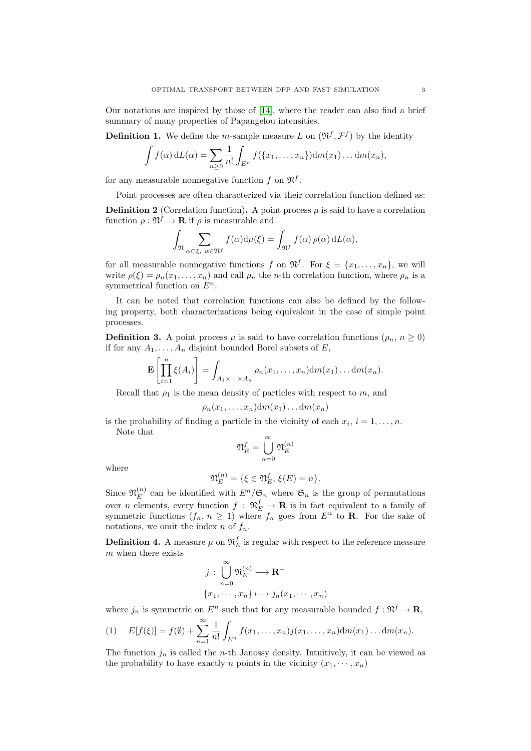Our notations are inspired by those of [14], where the reader can also find a brief summary of many properties of Papangelou intensities.

**Definition 1.** We define the *m*-sample measure L on  $(\mathfrak{N}^f, \mathcal{F}^f)$  by the identity

$$
\int f(\alpha) dL(\alpha) = \sum_{n\geq 0} \frac{1}{n!} \int_{E^n} f(\{x_1,\ldots,x_n\}) dm(x_1)\ldots dm(x_n),
$$

for any measurable nonnegative function f on  $\mathfrak{N}^f$ .

Point processes are often characterized via their correlation function defined as:

**Definition 2** (Correlation function). A point process  $\mu$  is said to have a correlation function  $\rho: \mathfrak{N}^f \to \mathbf{R}$  if  $\rho$  is measurable and

$$
\int_{\mathfrak{N}} \sum_{\alpha \subset \xi, \ \alpha \in \mathfrak{N}^f} f(\alpha) d\mu(\xi) = \int_{\mathfrak{N}^f} f(\alpha) \,\rho(\alpha) \, dL(\alpha),
$$

for all measurable nonnegative functions f on  $\mathfrak{N}^f$ . For  $\xi = \{x_1, \ldots, x_n\}$ , we will write  $\rho(\xi) = \rho_n(x_1, \ldots, x_n)$  and call  $\rho_n$  the *n*-th correlation function, where  $\rho_n$  is a symmetrical function on  $E^n$ .

It can be noted that correlation functions can also be defined by the following property, both characterizations being equivalent in the case of simple point processes.

**Definition 3.** A point process  $\mu$  is said to have correlation functions ( $\rho_n$ ,  $n \geq 0$ ) if for any  $A_1, \ldots, A_n$  disjoint bounded Borel subsets of E,

$$
\mathbf{E}\left[\prod_{i=1}^n \xi(A_i)\right] = \int_{A_1 \times \cdots \times A_n} \rho_n(x_1,\ldots,x_n) \mathrm{d}m(x_1) \ldots \mathrm{d}m(x_n).
$$

Recall that  $\rho_1$  is the mean density of particles with respect to m, and

$$
\rho_n(x_1,\ldots,x_n)\mathrm{d} m(x_1)\ldots\mathrm{d} m(x_n)
$$

is the probability of finding a particle in the vicinity of each  $x_i$ ,  $i = 1, \ldots, n$ . Note that

where

$$
\mathfrak{N}_E^f = \bigcup_{n=0}^\infty \mathfrak{N}_E^{(n)}
$$

$$
\mathfrak{N}_E^{(n)} = \{ \xi \in \mathfrak{N}_E^f, \, \xi(E) = n \}.
$$

Since  $\mathfrak{N}_E^{(n)}$  $E_E^{(n)}$  can be identified with  $E^n/\mathfrak{S}_n$  where  $\mathfrak{S}_n$  is the group of permutations over *n* elements, every function  $f : \mathfrak{N}_E^f \to \mathbf{R}$  is in fact equivalent to a family of symmetric functions  $(f_n, n \ge 1)$  where  $f_n$  goes from  $E^n$  to **R**. For the sake of notations, we omit the index  $n$  of  $f_n$ .

**Definition 4.** A measure  $\mu$  on  $\mathfrak{N}_{E}^{f}$  is regular with respect to the reference measure m when there exists

 $\sim$ 

$$
j : \bigcup_{n=0}^{\infty} \mathfrak{N}_E^{(n)} \longrightarrow \mathbf{R}^+
$$

$$
\{x_1, \cdots, x_n\} \longmapsto j_n(x_1, \cdots, x_n)
$$

where  $j_n$  is symmetric on  $E^n$  such that for any measurable bounded  $f: \mathfrak{N}^f \to \mathbf{R}$ ,

(1) 
$$
E[f(\xi)] = f(\emptyset) + \sum_{n=1}^{\infty} \frac{1}{n!} \int_{E^n} f(x_1, \dots, x_n) j(x_1, \dots, x_n) dm(x_1) \dots dm(x_n).
$$

The function  $j_n$  is called the *n*-th Janossy density. Intuitively, it can be viewed as the probability to have exactly *n* points in the vicinity  $(x_1, \dots, x_n)$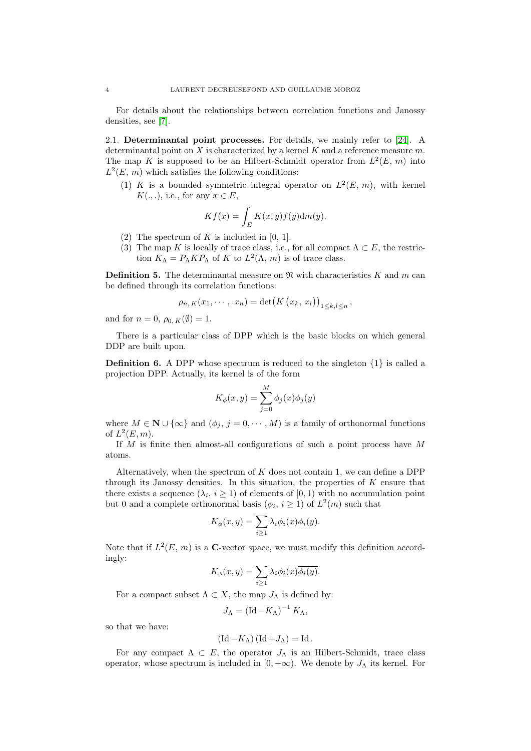For details about the relationships between correlation functions and Janossy densities, see [7].

2.1. Determinantal point processes. For details, we mainly refer to [24]. A determinantal point on  $X$  is characterized by a kernel  $K$  and a reference measure  $m$ . The map K is supposed to be an Hilbert-Schmidt operator from  $L^2(E, m)$  into  $L^2(E, m)$  which satisfies the following conditions:

(1) K is a bounded symmetric integral operator on  $L^2(E, m)$ , with kernel  $K(.,.),$  i.e., for any  $x \in E$ ,

$$
Kf(x) = \int_{E} K(x, y) f(y) dm(y).
$$

- (2) The spectrum of  $K$  is included in [0, 1].
- (3) The map K is locally of trace class, i.e., for all compact  $\Lambda \subset E$ , the restriction  $K_{\Lambda} = P_{\Lambda} K P_{\Lambda}$  of K to  $L^2(\Lambda, m)$  is of trace class.

**Definition 5.** The determinantal measure on  $\mathfrak{N}$  with characteristics K and m can be defined through its correlation functions:

$$
\rho_{n,K}(x_1,\dots,x_n)=\det\bigl(K(x_k,x_l)\bigr)_{1\leq k,l\leq n},
$$

and for  $n = 0$ ,  $\rho_{0,K}(\emptyset) = 1$ .

There is a particular class of DPP which is the basic blocks on which general DDP are built upon.

**Definition 6.** A DPP whose spectrum is reduced to the singleton  $\{1\}$  is called a projection DPP. Actually, its kernel is of the form

$$
K_{\phi}(x, y) = \sum_{j=0}^{M} \phi_j(x)\phi_j(y)
$$

where  $M \in \mathbb{N} \cup \{\infty\}$  and  $(\phi_j, j = 0, \dots, M)$  is a family of orthonormal functions of  $L^2(E, m)$ .

If M is finite then almost-all configurations of such a point process have M atoms.

Alternatively, when the spectrum of  $K$  does not contain 1, we can define a DPP through its Janossy densities. In this situation, the properties of  $K$  ensure that there exists a sequence  $(\lambda_i, i \geq 1)$  of elements of  $[0, 1)$  with no accumulation point but 0 and a complete orthonormal basis  $(\phi_i, i \ge 1)$  of  $L^2(m)$  such that

$$
K_{\phi}(x, y) = \sum_{i \ge 1} \lambda_i \phi_i(x) \phi_i(y).
$$

Note that if  $L^2(E, m)$  is a C-vector space, we must modify this definition accordingly:

$$
K_{\phi}(x,y) = \sum_{i \ge 1} \lambda_i \phi_i(x) \overline{\phi_i(y)}.
$$

For a compact subset  $\Lambda \subset X$ , the map  $J_{\Lambda}$  is defined by:

$$
J_{\Lambda} = (\mathrm{Id} - K_{\Lambda})^{-1} K_{\Lambda},
$$

so that we have:

$$
(\mathrm{Id}-K_{\Lambda})\left(\mathrm{Id}+J_{\Lambda}\right)=\mathrm{Id}.
$$

For any compact  $\Lambda \subset E$ , the operator  $J_{\Lambda}$  is an Hilbert-Schmidt, trace class operator, whose spectrum is included in  $[0, +\infty)$ . We denote by  $J_{\Lambda}$  its kernel. For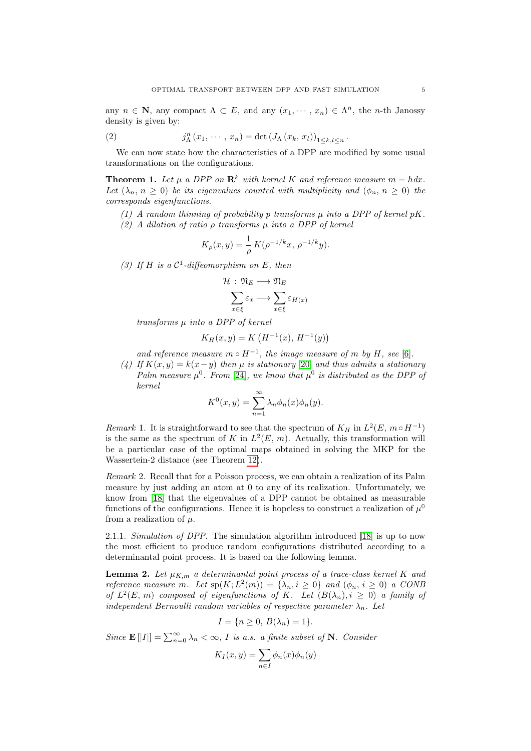any  $n \in \mathbb{N}$ , any compact  $\Lambda \subset E$ , and any  $(x_1, \dots, x_n) \in \Lambda^n$ , the *n*-th Janossy density is given by:

(2) 
$$
j_{\Lambda}^{n}(x_{1},\cdots,x_{n})=\det(J_{\Lambda}(x_{k},x_{l}))_{1\leq k,l\leq n}.
$$

We can now state how the characteristics of a DPP are modified by some usual transformations on the configurations.

**Theorem 1.** Let  $\mu$  a DPP on  $\mathbb{R}^k$  with kernel K and reference measure  $m = h dx$ . Let  $(\lambda_n, n \geq 0)$  be its eigenvalues counted with multiplicity and  $(\phi_n, n \geq 0)$  the corresponds eigenfunctions.

- (1) A random thinning of probability p transforms  $\mu$  into a DPP of kernel pK.
- (2) A dilation of ratio  $\rho$  transforms  $\mu$  into a DPP of kernel

$$
K_{\rho}(x,y) = \frac{1}{\rho} K(\rho^{-1/k}x, \, \rho^{-1/k}y).
$$

(3) If H is a  $C^1$ -diffeomorphism on E, then

$$
\mathcal{H}: \mathfrak{N}_E \longrightarrow \mathfrak{N}_E
$$

$$
\sum_{x \in \xi} \varepsilon_x \longrightarrow \sum_{x \in \xi} \varepsilon_{H(x)}
$$

 $transforms  $µ$  into  $a DPP$  of  $kernel$$ 

$$
K_H(x, y) = K\left(H^{-1}(x), H^{-1}(y)\right)
$$

and reference measure  $m \circ H^{-1}$ , the image measure of m by H, see [6].

(4) If  $K(x, y) = k(x - y)$  then  $\mu$  is stationary [20] and thus admits a stationary Palm measure  $\mu^0$ . From [24], we know that  $\mu^0$  is distributed as the DPP of kernel

$$
K^{0}(x, y) = \sum_{n=1}^{\infty} \lambda_{n} \phi_{n}(x) \phi_{n}(y).
$$

Remark 1. It is straightforward to see that the spectrum of  $K_H$  in  $L^2(E, m \circ H^{-1})$ is the same as the spectrum of K in  $L^2(E, m)$ . Actually, this transformation will be a particular case of the optimal maps obtained in solving the MKP for the Wassertein-2 distance (see Theorem 12).

Remark 2. Recall that for a Poisson process, we can obtain a realization of its Palm measure by just adding an atom at 0 to any of its realization. Unfortunately, we know from [18] that the eigenvalues of a DPP cannot be obtained as measurable functions of the configurations. Hence it is hopeless to construct a realization of  $\mu^0$ from a realization of  $\mu$ .

2.1.1. Simulation of DPP. The simulation algorithm introduced [18] is up to now the most efficient to produce random configurations distributed according to a determinantal point process. It is based on the following lemma.

**Lemma 2.** Let  $\mu_{K,m}$  a determinantal point process of a trace-class kernel K and reference measure m. Let  $sp(K; L^2(m)) = {\lambda_n, i \geq 0}$  and  $(\phi_n, i \geq 0)$  a CONB of  $L^2(E, m)$  composed of eigenfunctions of K. Let  $(B(\lambda_n), i \geq 0)$  a family of independent Bernoulli random variables of respective parameter  $\lambda_n$ . Let

$$
I = \{ n \ge 0, B(\lambda_n) = 1 \}.
$$

Since  $\mathbf{E}[|I|] = \sum_{n=0}^{\infty} \lambda_n < \infty$ , I is a.s. a finite subset of N. Consider

$$
K_I(x, y) = \sum_{n \in I} \phi_n(x) \phi_n(y)
$$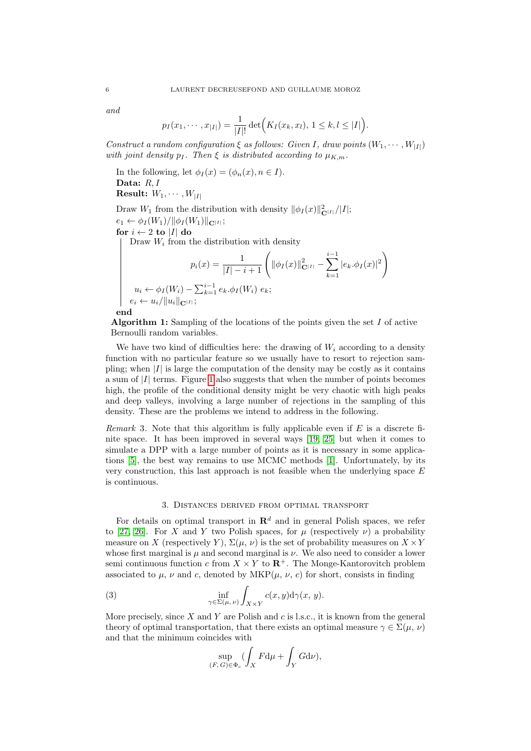and

$$
p_I(x_1, \dots, x_{|I|}) = \frac{1}{|I|!} \det (K_I(x_k, x_l), 1 \leq k, l \leq |I|).
$$

Construct a random configuration  $\xi$  as follows: Given I, draw points  $(W_1, \dots, W_{|I|})$ with joint density  $p_I$ . Then  $\xi$  is distributed according to  $\mu_{K,m}$ .

In the following, let  $\phi_I(x) = (\phi_n(x), n \in I)$ . Data: R, I **Result:**  $W_1, \cdots, W_{|I|}$ 

Draw  $W_1$  from the distribution with density  $\|\phi_I(x)\|_{\mathbf{C}^{|I|}}^2/|I|;$  $e_1 \leftarrow \phi_I(W_1)/\|\phi_I(W_1)\|_{\mathbf{C}^{|I|}};$ for  $i \leftarrow 2$  to  $|I|$  do Draw  $W_i$  from the distribution with density  $p_i(x) = \frac{1}{|I| - i + 1} \left( \|\phi_I(x)\|_{\mathbf{C}^{|I|}}^2 - \sum_{k=1}^{i-1} \right)$  $\sum_{k=1}^{i-1} |e_k.\phi_I(x)|^2$  $u_i \leftarrow \phi_I(W_i) - \sum_{k=1}^{i-1} e_k \phi_I(W_i) e_k;$  $e_i \leftarrow u_i/\Vert u_i \Vert_{\mathbf{C}^{\vert I \vert}};$ end

Algorithm 1: Sampling of the locations of the points given the set  $I$  of active Bernoulli random variables.

We have two kind of difficulties here: the drawing of  $W_i$  according to a density function with no particular feature so we usually have to resort to rejection sampling; when  $|I|$  is large the computation of the density may be costly as it contains a sum of |I| terms. Figure 1 also suggests that when the number of points becomes high, the profile of the conditional density might be very chaotic with high peaks and deep valleys, involving a large number of rejections in the sampling of this density. These are the problems we intend to address in the following.

Remark 3. Note that this algorithm is fully applicable even if  $E$  is a discrete finite space. It has been improved in several ways [19, 25] but when it comes to simulate a DPP with a large number of points as it is necessary in some applications [5], the best way remains to use MCMC methods [1]. Unfortunately, by its very construction, this last approach is not feasible when the underlying space  $E$ is continuous.

#### 3. Distances derived from optimal transport

For details on optimal transport in  $\mathbb{R}^d$  and in general Polish spaces, we refer to [27, 26]. For X and Y two Polish spaces, for  $\mu$  (respectively  $\nu$ ) a probability measure on X (respectively Y),  $\Sigma(\mu, \nu)$  is the set of probability measures on  $X \times Y$ whose first marginal is  $\mu$  and second marginal is  $\nu$ . We also need to consider a lower semi continuous function c from  $X \times Y$  to  $\mathbb{R}^+$ . The Monge-Kantorovitch problem associated to  $\mu$ ,  $\nu$  and c, denoted by MKP( $\mu$ ,  $\nu$ , c) for short, consists in finding

(3) 
$$
\inf_{\gamma \in \Sigma(\mu,\,\nu)} \int_{X \times Y} c(x,y) \mathrm{d}\gamma(x,\,y).
$$

More precisely, since  $X$  and  $Y$  are Polish and  $c$  is l.s.c., it is known from the general theory of optimal transportation, that there exists an optimal measure  $\gamma \in \Sigma(\mu, \nu)$ and that the minimum coincides with

$$
\sup_{(F,G)\in\Phi_c}(\int_X F\mathrm{d}\mu+\int_Y G\mathrm{d}\nu),
$$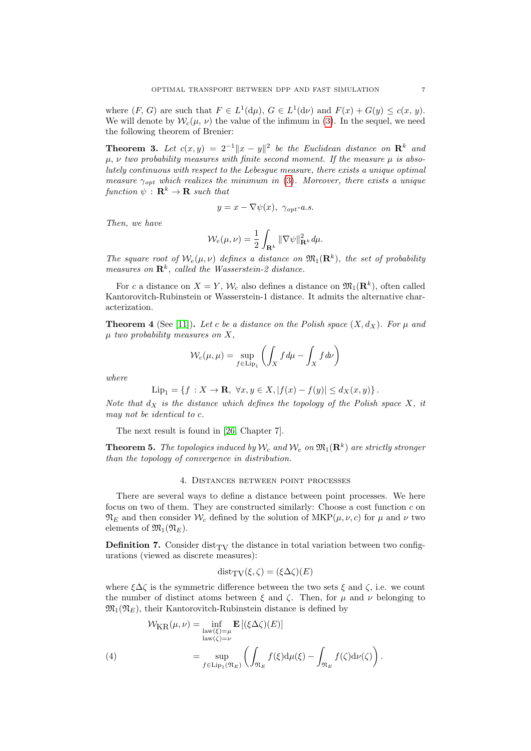where  $(F, G)$  are such that  $F \in L^1(\mathbf{d}\mu)$ ,  $G \in L^1(\mathbf{d}\nu)$  and  $F(x) + G(y) \leq c(x, y)$ . We will denote by  $W_c(\mu, \nu)$  the value of the infimum in (3). In the sequel, we need the following theorem of Brenier:

**Theorem 3.** Let  $c(x,y) = 2^{-1} \|x-y\|^2$  be the Euclidean distance on  $\mathbb{R}^k$  and  $\mu$ ,  $\nu$  two probability measures with finite second moment. If the measure  $\mu$  is absolutely continuous with respect to the Lebesgue measure, there exists a unique optimal measure  $\gamma_{\text{opt}}$  which realizes the minimum in (3). Moreover, there exists a unique function  $\psi : \mathbf{R}^k \to \mathbf{R}$  such that

$$
y = x - \nabla \psi(x), \ \gamma_{opt}\text{-}a.s.
$$

Then, we have

$$
\mathcal{W}_e(\mu,\nu)=\frac{1}{2}\int_{\mathbf{R}^k}\|\nabla\psi\|_{\mathbf{R}^k}^2\,d\mu.
$$

The square root of  $W_e(\mu, \nu)$  defines a distance on  $\mathfrak{M}_1(\mathbf{R}^k)$ , the set of probability measures on  $\mathbb{R}^k$ , called the Wasserstein-2 distance.

For c a distance on  $X = Y$ ,  $W_c$  also defines a distance on  $\mathfrak{M}_1(\mathbf{R}^k)$ , often called Kantorovitch-Rubinstein or Wasserstein-1 distance. It admits the alternative characterization.

**Theorem 4** (See [11]). Let c be a distance on the Polish space  $(X, d_X)$ . For  $\mu$  and  $\mu$  two probability measures on X,

$$
\mathcal{W}_c(\mu, \mu) = \sup_{f \in \text{Lip}_1} \left( \int_X f \, d\mu - \int_X f \, d\nu \right)
$$

where

$$
\text{Lip}_1 = \{ f : X \to \mathbf{R}, \ \forall x, y \in X, |f(x) - f(y)| \le d_X(x, y) \}.
$$

Note that  $d_X$  is the distance which defines the topology of the Polish space X, it may not be identical to c.

The next result is found in [26, Chapter 7].

**Theorem 5.** The topologies induced by  $W_c$  and  $W_e$  on  $\mathfrak{M}_1(\mathbf{R}^k)$  are strictly stronger than the topology of convergence in distribution.

#### 4. Distances between point processes

There are several ways to define a distance between point processes. We here focus on two of them. They are constructed similarly: Choose a cost function  $c$  on  $\mathfrak{N}_E$  and then consider  $\mathcal{W}_c$  defined by the solution of  $\mathrm{MKP}(\mu, \nu, c)$  for  $\mu$  and  $\nu$  two elements of  $\mathfrak{M}_1(\mathfrak{N}_E)$ .

**Definition 7.** Consider dist<sub>TV</sub> the distance in total variation between two configurations (viewed as discrete measures):

$$
dist_{\mathrm{TV}}(\xi, \zeta) = (\xi \Delta \zeta)(E)
$$

where  $\xi\Delta\zeta$  is the symmetric difference between the two sets  $\xi$  and  $\zeta$ , i.e. we count the number of distinct atoms between  $\xi$  and  $\zeta$ . Then, for  $\mu$  and  $\nu$  belonging to  $\mathfrak{M}_1(\mathfrak{N}_E)$ , their Kantorovitch-Rubinstein distance is defined by

$$
\mathcal{W}_{KR}(\mu, \nu) = \inf_{\substack{\text{law}(\xi) = \mu \\ \text{law}(\zeta) = \nu}} \mathbf{E}\left[ (\xi \Delta \zeta)(E) \right]
$$
\n
$$
(4) \qquad \qquad = \sup_{f \in \text{Lip}_1(\mathfrak{N}_E)} \left( \int_{\mathfrak{N}_E} f(\xi) d\mu(\xi) - \int_{\mathfrak{N}_E} f(\zeta) d\nu(\zeta) \right).
$$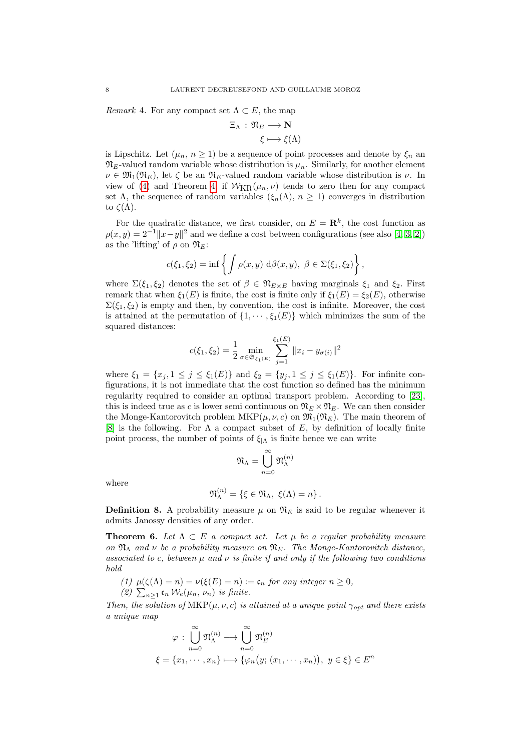Remark 4. For any compact set  $\Lambda \subset E$ , the map

$$
\Xi_{\Lambda}: \mathfrak{N}_E \longrightarrow \mathbf{N}
$$

$$
\xi \longmapsto \xi(\Lambda)
$$

is Lipschitz. Let  $(\mu_n, n \ge 1)$  be a sequence of point processes and denote by  $\xi_n$  and  $\mathfrak{N}_{E}$ -valued random variable whose distribution is  $\mu_n$ . Similarly, for another element  $\nu \in \mathfrak{M}_1(\mathfrak{N}_E)$ , let  $\zeta$  be an  $\mathfrak{N}_E$ -valued random variable whose distribution is  $\nu$ . In view of (4) and Theorem 4, if  $W_{\text{KR}}(\mu_n, \nu)$  tends to zero then for any compact set Λ, the sequence of random variables  $(\xi_n(\Lambda), n \geq 1)$  converges in distribution to  $\zeta(\Lambda)$ .

For the quadratic distance, we first consider, on  $E = \mathbb{R}^k$ , the cost function as  $\rho(x, y) = 2^{-1} \|x - y\|^2$  and we define a cost between configurations (see also [4, 3, 2]) as the 'lifting' of  $\rho$  on  $\mathfrak{N}_E$ :

$$
c(\xi_1, \xi_2) = \inf \left\{ \int \rho(x, y) \, d\beta(x, y), \ \beta \in \Sigma(\xi_1, \xi_2) \right\},\
$$

where  $\Sigma(\xi_1, \xi_2)$  denotes the set of  $\beta \in \mathfrak{N}_{E \times E}$  having marginals  $\xi_1$  and  $\xi_2$ . First remark that when  $\xi_1(E)$  is finite, the cost is finite only if  $\xi_1(E) = \xi_2(E)$ , otherwise  $\Sigma(\xi_1,\xi_2)$  is empty and then, by convention, the cost is infinite. Moreover, the cost is attained at the permutation of  $\{1, \dots, \xi_1(E)\}$  which minimizes the sum of the squared distances:

$$
c(\xi_1, \xi_2) = \frac{1}{2} \min_{\sigma \in \mathfrak{S}_{\xi_1(E)}} \sum_{j=1}^{\xi_1(E)} \|x_i - y_{\sigma(i)}\|^2
$$

where  $\xi_1 = \{x_j, 1 \leq j \leq \xi_1(E)\}\$  and  $\xi_2 = \{y_j, 1 \leq j \leq \xi_1(E)\}\$ . For infinite configurations, it is not immediate that the cost function so defined has the minimum regularity required to consider an optimal transport problem. According to [23], this is indeed true as c is lower semi continuous on  $\mathfrak{N}_E \times \mathfrak{N}_E$ . We can then consider the Monge-Kantorovitch problem  $\text{MKP}(\mu, \nu, c)$  on  $\mathfrak{M}_1(\mathfrak{N}_E)$ . The main theorem of [8] is the following. For  $\Lambda$  a compact subset of E, by definition of locally finite point process, the number of points of  $\xi_{\vert \Lambda}$  is finite hence we can write

$$
\mathfrak{N}_{\Lambda}=\bigcup_{n=0}^{\infty}\mathfrak{N}_{\Lambda}^{(n)}
$$

where

$$
\mathfrak{N}_{\Lambda}^{(n)} = \{ \xi \in \mathfrak{N}_{\Lambda}, \ \xi(\Lambda) = n \}.
$$

**Definition 8.** A probability measure  $\mu$  on  $\mathfrak{N}_E$  is said to be regular whenever it admits Janossy densities of any order.

**Theorem 6.** Let  $\Lambda \subset E$  a compact set. Let  $\mu$  be a regular probability measure on  $\mathfrak{N}_{\Lambda}$  and  $\nu$  be a probability measure on  $\mathfrak{N}_{E}$ . The Monge-Kantorovitch distance, associated to c, between  $\mu$  and  $\nu$  is finite if and only if the following two conditions hold

- (1)  $\mu(\zeta(\Lambda) = n) = \nu(\xi(E) = n) := \mathfrak{c}_n$  for any integer  $n \geq 0$ ,
- (2)  $\sum_{n\geq 1} \mathfrak{c}_n \mathcal{W}_e(\mu_n, \nu_n)$  is finite.

Then, the solution of MKP( $\mu, \nu, c$ ) is attained at a unique point  $\gamma_{opt}$  and there exists a unique map

$$
\varphi : \bigcup_{n=0}^{\infty} \mathfrak{N}_{\Lambda}^{(n)} \longrightarrow \bigcup_{n=0}^{\infty} \mathfrak{N}_{E}^{(n)}
$$

$$
\xi = \{x_1, \dots, x_n\} \longmapsto \{\varphi_n(y; (x_1, \dots, x_n)), y \in \xi\} \in E^n
$$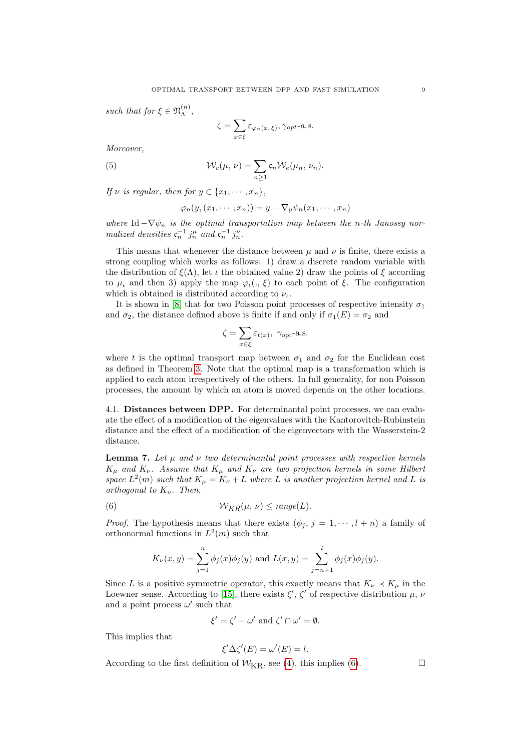such that for  $\xi \in \mathfrak{N}_{\Lambda}^{(n)}$  $\mathcal{L}^{(n)},$ 

$$
\zeta = \sum_{x \in \xi} \varepsilon_{\varphi_n(x,\xi)}, \gamma_{opt}\text{-}a.s.
$$

Moreover,

(5) 
$$
\mathcal{W}_c(\mu,\nu)=\sum_{n\geq 1}\mathfrak{c}_n\mathcal{W}_e(\mu_n,\nu_n).
$$

If v is regular, then for  $y \in \{x_1, \dots, x_n\},\$ 

$$
\varphi_n(y,(x_1,\dots,x_n))=y-\nabla_y\psi_n(x_1,\dots,x_n)
$$

where Id  $-\nabla \psi_n$  is the optimal transportation map between the n-th Janossy normalized densities  $\mathfrak{c}_n^{-1} j_n^{\mu}$  and  $\mathfrak{c}_n^{-1} j_n^{\nu}$ .

This means that whenever the distance between  $\mu$  and  $\nu$  is finite, there exists a strong coupling which works as follows: 1) draw a discrete random variable with the distribution of  $\xi(\Lambda)$ , let  $\iota$  the obtained value 2) draw the points of  $\xi$  according to  $\mu_{\iota}$  and then 3) apply the map  $\varphi_{\iota}(\cdot,\xi)$  to each point of  $\xi$ . The configuration which is obtained is distributed according to  $\nu_{\iota}$ .

It is shown in [8] that for two Poisson point processes of respective intensity  $\sigma_1$ and  $\sigma_2$ , the distance defined above is finite if and only if  $\sigma_1(E) = \sigma_2$  and

$$
\zeta = \sum_{x \in \xi} \varepsilon_{t(x)}, \ \gamma_{\text{opt}}\text{-a.s.}
$$

where t is the optimal transport map between  $\sigma_1$  and  $\sigma_2$  for the Euclidean cost as defined in Theorem 3. Note that the optimal map is a transformation which is applied to each atom irrespectively of the others. In full generality, for non Poisson processes, the amount by which an atom is moved depends on the other locations.

4.1. Distances between DPP. For determinantal point processes, we can evaluate the effect of a modification of the eigenvalues with the Kantorovitch-Rubinstein distance and the effect of a modification of the eigenvectors with the Wasserstein-2 distance.

**Lemma 7.** Let  $\mu$  and  $\nu$  two determinantal point processes with respective kernels  $K_{\mu}$  and  $K_{\nu}$ . Assume that  $K_{\mu}$  and  $K_{\nu}$  are two projection kernels in some Hilbert space  $L^2(m)$  such that  $K_{\mu} = K_{\nu} + L$  where L is another projection kernel and L is orthogonal to  $K_{\nu}$ . Then,

(6) 
$$
W_{KR}(\mu, \nu) \leq range(L).
$$

*Proof.* The hypothesis means that there exists  $(\phi_i, j = 1, \dots, l + n)$  a family of orthonormal functions in  $L^2(m)$  such that

$$
K_{\nu}(x, y) = \sum_{j=1}^{n} \phi_j(x)\phi_j(y)
$$
 and  $L(x, y) = \sum_{j=n+1}^{l} \phi_j(x)\phi_j(y)$ .

Since L is a positive symmetric operator, this exactly means that  $K_{\nu} \prec K_{\mu}$  in the Loewner sense. According to [15], there exists  $\xi', \zeta'$  of respective distribution  $\mu, \nu$ and a point process  $\omega'$  such that

$$
\xi' = \zeta' + \omega' \text{ and } \zeta' \cap \omega' = \emptyset.
$$

This implies that

$$
\xi'\Delta\zeta'(E) = \omega'(E) = l.
$$

According to the first definition of  $W_{\text{KR}}$ , see (4), this implies (6).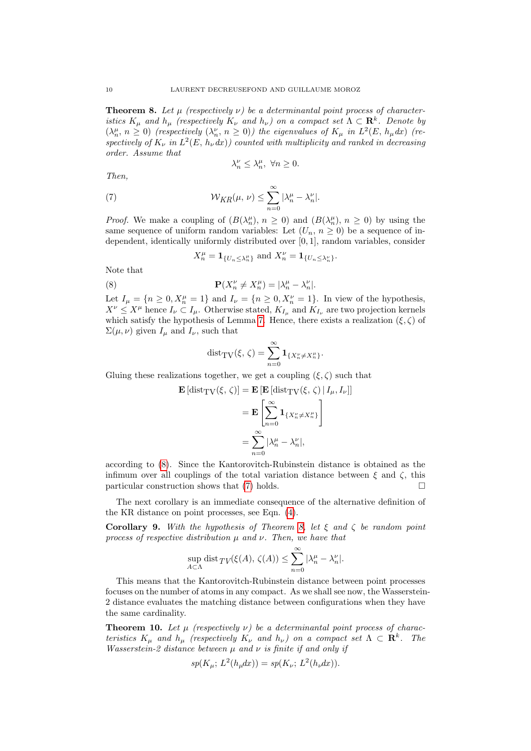**Theorem 8.** Let  $\mu$  (respectively  $\nu$ ) be a determinantal point process of characteristics  $K_{\mu}$  and  $h_{\mu}$  (respectively  $K_{\nu}$  and  $h_{\nu}$ ) on a compact set  $\Lambda \subset \mathbb{R}^{k}$ . Denote by  $(\lambda_n^{\mu}, n \ge 0)$  (respectively  $(\lambda_n^{\nu}, n \ge 0)$ ) the eigenvalues of  $K_{\mu}$  in  $L^2(E, h_{\mu}dx)$  (respectively of  $K_{\nu}$  in  $L^2(E, h_{\nu} dx)$  counted with multiplicity and ranked in decreasing order. Assume that

$$
\lambda_n^{\nu} \le \lambda_n^{\mu}, \ \forall n \ge 0.
$$

Then,

(7) 
$$
\mathcal{W}_{KR}(\mu, \nu) \leq \sum_{n=0}^{\infty} |\lambda_n^{\mu} - \lambda_n^{\nu}|.
$$

*Proof.* We make a coupling of  $(B(\lambda_n^{\mu}), n \ge 0)$  and  $(B(\lambda_n^{\mu}), n \ge 0)$  by using the same sequence of uniform random variables: Let  $(U_n, n \geq 0)$  be a sequence of independent, identically uniformly distributed over [0, 1], random variables, consider

$$
X_n^{\mu} = \mathbf{1}_{\{U_n \leq \lambda_n^{\mu}\}} \text{ and } X_n^{\nu} = \mathbf{1}_{\{U_n \leq \lambda_n^{\nu}\}}.
$$

Note that

(8) 
$$
\mathbf{P}(X_n^{\nu} \neq X_n^{\mu}) = |\lambda_n^{\mu} - \lambda_n^{\nu}|.
$$

Let  $I_{\mu} = \{n \geq 0, X_n^{\mu} = 1\}$  and  $I_{\nu} = \{n \geq 0, X_n^{\nu} = 1\}$ . In view of the hypothesis,  $X^{\nu} \leq X^{\mu}$  hence  $I_{\nu} \subset I_{\mu}$ . Otherwise stated,  $K_{I_{\mu}}$  and  $K_{I_{\nu}}$  are two projection kernels which satisfy the hypothesis of Lemma 7. Hence, there exists a realization  $(\xi, \zeta)$  of  $\Sigma(\mu, \nu)$  given  $I_{\mu}$  and  $I_{\nu}$ , such that

$$
\mathrm{dist}_{\mathrm{TV}}(\xi,\,\zeta)=\sum_{n=0}^\infty\mathbf{1}_{\{X_n^\nu\neq X_n^\mu\}}.
$$

Gluing these realizations together, we get a coupling  $(\xi, \zeta)$  such that

$$
\mathbf{E} \left[ \text{dist}_{\text{TV}}(\xi, \zeta) \right] = \mathbf{E} \left[ \mathbf{E} \left[ \text{dist}_{\text{TV}}(\xi, \zeta) \, | \, I_{\mu}, I_{\nu} \right] \right]
$$
\n
$$
= \mathbf{E} \left[ \sum_{n=0}^{\infty} \mathbf{1}_{\{X_n^{\nu} \neq X_n^{\mu}\}} \right]
$$
\n
$$
= \sum_{n=0}^{\infty} |\lambda_n^{\mu} - \lambda_n^{\nu}|,
$$

according to (8). Since the Kantorovitch-Rubinstein distance is obtained as the infimum over all couplings of the total variation distance between  $\xi$  and  $\zeta$ , this particular construction shows that  $(7)$  holds.

The next corollary is an immediate consequence of the alternative definition of the KR distance on point processes, see Eqn. (4).

**Corollary 9.** With the hypothesis of Theorem 8, let  $\xi$  and  $\zeta$  be random point process of respective distribution  $\mu$  and  $\nu$ . Then, we have that

$$
\sup_{A\subset \Lambda} \text{dist}_{TV}(\xi(A), \, \zeta(A)) \leq \sum_{n=0}^{\infty} |\lambda_n^{\mu} - \lambda_n^{\nu}|.
$$

This means that the Kantorovitch-Rubinstein distance between point processes focuses on the number of atoms in any compact. As we shall see now, the Wasserstein-2 distance evaluates the matching distance between configurations when they have the same cardinality.

**Theorem 10.** Let  $\mu$  (respectively  $\nu$ ) be a determinantal point process of characteristics  $K_{\mu}$  and  $h_{\mu}$  (respectively  $K_{\nu}$  and  $h_{\nu}$ ) on a compact set  $\Lambda \subset \mathbf{R}^{k}$ . The Wasserstein-2 distance between  $\mu$  and  $\nu$  is finite if and only if

$$
sp(K_{\mu}; L^{2}(h_{\mu}dx)) = sp(K_{\nu}; L^{2}(h_{\nu}dx)).
$$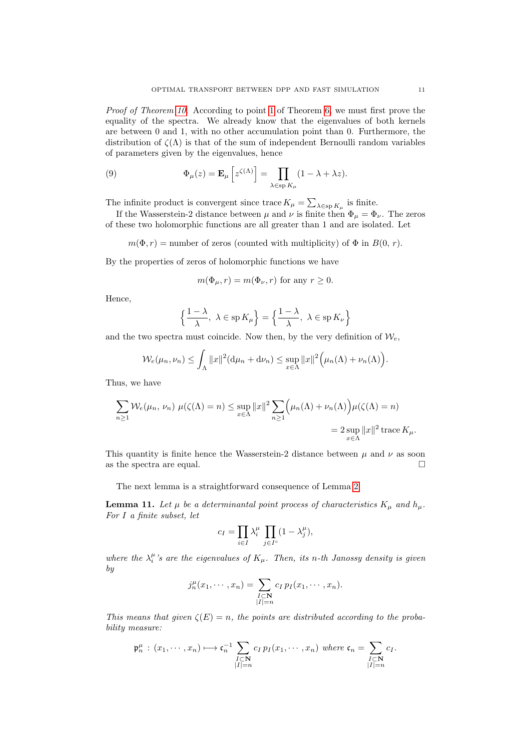Proof of Theorem 10. According to point 1 of Theorem 6, we must first prove the equality of the spectra. We already know that the eigenvalues of both kernels are between 0 and 1, with no other accumulation point than 0. Furthermore, the distribution of  $\zeta(\Lambda)$  is that of the sum of independent Bernoulli random variables of parameters given by the eigenvalues, hence

(9) 
$$
\Phi_{\mu}(z) = \mathbf{E}_{\mu} \left[ z^{\zeta(\Lambda)} \right] = \prod_{\lambda \in \text{sp } K_{\mu}} (1 - \lambda + \lambda z).
$$

The infinite product is convergent since trace  $K_{\mu} = \sum_{\lambda \in \text{sp } K_{\mu}}$  is finite.

If the Wasserstein-2 distance between  $\mu$  and  $\nu$  is finite then  $\Phi_{\mu} = \Phi_{\nu}$ . The zeros of these two holomorphic functions are all greater than 1 and are isolated. Let

 $m(\Phi, r) =$  number of zeros (counted with multiplicity) of  $\Phi$  in  $B(0, r)$ .

By the properties of zeros of holomorphic functions we have

$$
m(\Phi_{\mu}, r) = m(\Phi_{\nu}, r)
$$
 for any  $r \ge 0$ .

Hence,

$$
\left\{\frac{1-\lambda}{\lambda}, \ \lambda \in \mathrm{sp} \, K_{\mu} \right\} = \left\{\frac{1-\lambda}{\lambda}, \ \lambda \in \mathrm{sp} \, K_{\nu} \right\}
$$

and the two spectra must coincide. Now then, by the very definition of  $W_e$ ,

$$
\mathcal{W}_e(\mu_n, \nu_n) \leq \int_{\Lambda} ||x||^2 (\mathrm{d}\mu_n + \mathrm{d}\nu_n) \leq \sup_{x \in \Lambda} ||x||^2 \Big( \mu_n(\Lambda) + \nu_n(\Lambda) \Big).
$$

Thus, we have

$$
\sum_{n\geq 1} \mathcal{W}_e(\mu_n, \nu_n) \ \mu(\zeta(\Lambda) = n) \leq \sup_{x \in \Lambda} ||x||^2 \sum_{n\geq 1} \left(\mu_n(\Lambda) + \nu_n(\Lambda)\right) \mu(\zeta(\Lambda) = n)
$$

$$
= 2 \sup_{x \in \Lambda} ||x||^2 \operatorname{trace} K_{\mu}.
$$

This quantity is finite hence the Wasserstein-2 distance between  $\mu$  and  $\nu$  as soon as the spectra are equal.  $\Box$ 

The next lemma is a straightforward consequence of Lemma 2.

**Lemma 11.** Let  $\mu$  be a determinantal point process of characteristics  $K_{\mu}$  and  $h_{\mu}$ . For I a finite subset, let

$$
c_I = \prod_{i \in I} \lambda_i^{\mu} \prod_{j \in I^c} (1 - \lambda_j^{\mu}),
$$

where the  $\lambda_i^{\mu}$ 's are the eigenvalues of  $K_{\mu}$ . Then, its n-th Janossy density is given by

$$
j_n^{\mu}(x_1,\dots,x_n) = \sum_{\substack{I \subset \mathbf{N} \\ |I|=n}} c_I p_I(x_1,\dots,x_n).
$$

This means that given  $\zeta(E) = n$ , the points are distributed according to the probability measure:

$$
\mathfrak{p}_n^{\mu} : (x_1, \cdots, x_n) \longmapsto \mathfrak{c}_n^{-1} \sum_{\substack{I \subset \mathbf{N} \\ |I| = n}} c_I p_I(x_1, \cdots, x_n) \text{ where } \mathfrak{c}_n = \sum_{\substack{I \subset \mathbf{N} \\ |I| = n}} c_I.
$$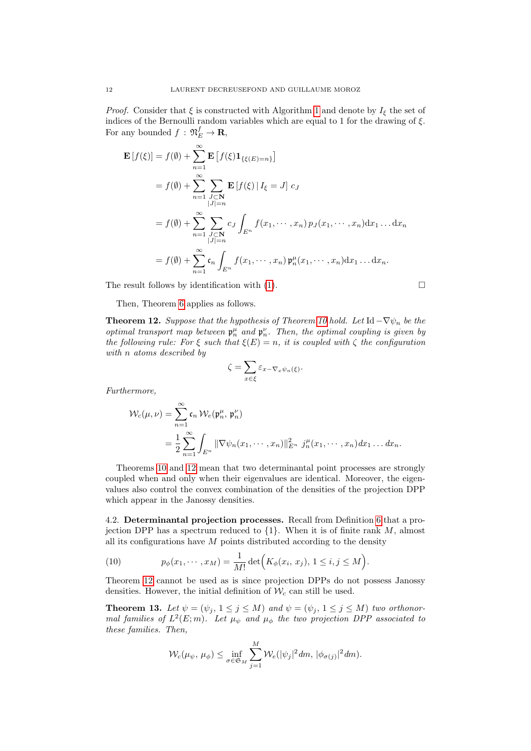*Proof.* Consider that  $\xi$  is constructed with Algorithm 1 and denote by  $I_{\xi}$  the set of indices of the Bernoulli random variables which are equal to 1 for the drawing of  $\xi$ . For any bounded  $f: \mathfrak{N}_E^f \to \mathbf{R}$ ,

$$
\mathbf{E}[f(\xi)] = f(\emptyset) + \sum_{n=1}^{\infty} \mathbf{E}[f(\xi)1_{\{\xi(E)=n\}}] \n= f(\emptyset) + \sum_{n=1}^{\infty} \sum_{\substack{J \subset \mathbf{N} \\ |J| = n}} \mathbf{E}[f(\xi) | I_{\xi} = J] c_J \n= f(\emptyset) + \sum_{n=1}^{\infty} \sum_{\substack{J \subset \mathbf{N} \\ |J| = n}} c_J \int_{E^n} f(x_1, \dots, x_n) p_J(x_1, \dots, x_n) dx_1 \dots dx_n \n= f(\emptyset) + \sum_{n=1}^{\infty} c_n \int_{E^n} f(x_1, \dots, x_n) \mathfrak{p}_n^{\mu}(x_1, \dots, x_n) dx_1 \dots dx_n.
$$

The result follows by identification with  $(1)$ .

Then, Theorem 6 applies as follows.

**Theorem 12.** Suppose that the hypothesis of Theorem 10 hold. Let Id  $-\nabla \psi_n$  be the optimal transport map between  $\mathfrak{p}_n^{\mu}$  and  $\mathfrak{p}_n^{\nu}$ . Then, the optimal coupling is given by the following rule: For  $\xi$  such that  $\xi(E) = n$ , it is coupled with  $\zeta$  the configuration with n atoms described by

$$
\zeta = \sum_{x \in \xi} \varepsilon_{x - \nabla_x \psi_n(\xi)}.
$$

Furthermore,

$$
\mathcal{W}_c(\mu,\nu) = \sum_{n=1}^{\infty} \mathfrak{c}_n \,\mathcal{W}_e(\mathfrak{p}_n^{\mu},\,\mathfrak{p}_n^{\nu})
$$
  
= 
$$
\frac{1}{2} \sum_{n=1}^{\infty} \int_{E^n} ||\nabla \psi_n(x_1,\cdots,x_n)||_{E^n}^2 \, j_n^{\mu}(x_1,\cdots,x_n) dx_1 \cdots dx_n.
$$

Theorems 10 and 12 mean that two determinantal point processes are strongly coupled when and only when their eigenvalues are identical. Moreover, the eigenvalues also control the convex combination of the densities of the projection DPP which appear in the Janossy densities.

4.2. Determinantal projection processes. Recall from Definition 6 that a projection DPP has a spectrum reduced to  $\{1\}$ . When it is of finite rank  $M$ , almost all its configurations have  $M$  points distributed according to the density

(10) 
$$
p_{\phi}(x_1, \cdots, x_M) = \frac{1}{M!} \det \Big( K_{\phi}(x_i, x_j), 1 \leq i, j \leq M \Big).
$$

Theorem 12 cannot be used as is since projection DPPs do not possess Janossy densities. However, the initial definition of  $\mathcal{W}_c$  can still be used.

**Theorem 13.** Let  $\psi = (\psi_j, 1 \leq j \leq M)$  and  $\psi = (\psi_j, 1 \leq j \leq M)$  two orthonormal families of  $L^2(E; m)$ . Let  $\mu_{\psi}$  and  $\mu_{\phi}$  the two projection DPP associated to these families. Then,

$$
\mathcal{W}_c(\mu_\psi, \mu_\phi) \leq \inf_{\sigma \in \mathfrak{S}_M} \sum_{j=1}^M \mathcal{W}_e(|\psi_j|^2 dm, |\phi_{\sigma(j)}|^2 dm).
$$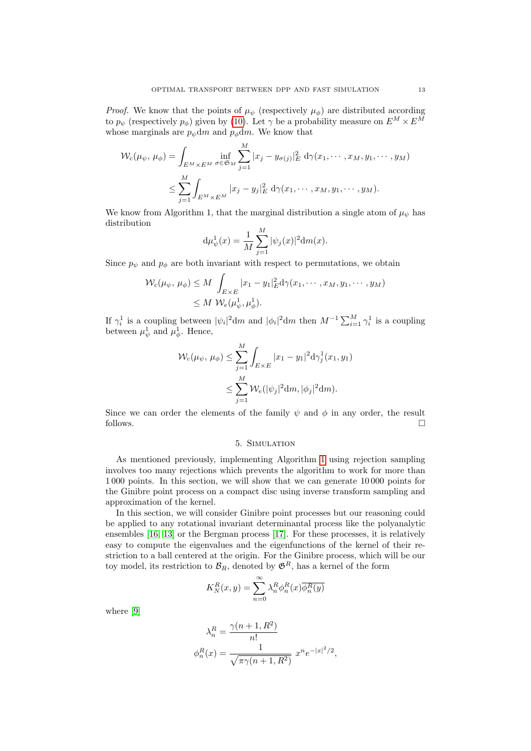*Proof.* We know that the points of  $\mu_{\psi}$  (respectively  $\mu_{\phi}$ ) are distributed according to  $p_{\psi}$  (respectively  $p_{\phi}$ ) given by (10). Let  $\gamma$  be a probability measure on  $E^M \times E^M$ whose marginals are  $p_{\psi}$ dm and  $p_{\phi}$ dm. We know that

$$
\mathcal{W}_c(\mu_{\psi}, \mu_{\phi}) = \int_{E^M \times E^M} \inf_{\sigma \in \mathfrak{S}_M} \sum_{j=1}^M |x_j - y_{\sigma(j)}|_E^2 \, d\gamma(x_1, \cdots, x_M, y_1, \cdots, y_M) \n\le \sum_{j=1}^M \int_{E^M \times E^M} |x_j - y_j|_E^2 \, d\gamma(x_1, \cdots, x_M, y_1, \cdots, y_M).
$$

We know from Algorithm 1, that the marginal distribution a single atom of  $\mu_{\psi}$  has distribution

$$
d\mu_{\psi}^{1}(x) = \frac{1}{M} \sum_{j=1}^{M} |\psi_{j}(x)|^{2} dm(x).
$$

Since  $p_{\psi}$  and  $p_{\phi}$  are both invariant with respect to permutations, we obtain

$$
\mathcal{W}_c(\mu_{\psi}, \mu_{\phi}) \le M \int_{E \times E} |x_1 - y_1|_E^2 d\gamma(x_1, \cdots, x_M, y_1, \cdots, y_M) \le M \mathcal{W}_e(\mu_{\psi}^1, \mu_{\phi}^1).
$$

If  $\gamma_i^1$  is a coupling between  $|\psi_i|^2 dm$  and  $|\phi_i|^2 dm$  then  $M^{-1} \sum_{i=1}^M \gamma_i^1$  is a coupling between  $\mu_{\psi}^{1}$  and  $\mu_{\phi}^{1}$ . Hence,

$$
\mathcal{W}_c(\mu_{\psi}, \mu_{\phi}) \le \sum_{j=1}^M \int_{E \times E} |x_1 - y_1|^2 \mathrm{d} \gamma_j^1(x_1, y_1)
$$
  

$$
\le \sum_{j=1}^M \mathcal{W}_e(|\psi_j|^2 \mathrm{d} m, |\phi_j|^2 \mathrm{d} m).
$$

Since we can order the elements of the family  $\psi$  and  $\phi$  in any order, the result follows.

### 5. Simulation

As mentioned previously, implementing Algorithm 1 using rejection sampling involves too many rejections which prevents the algorithm to work for more than 1 000 points. In this section, we will show that we can generate 10 000 points for the Ginibre point process on a compact disc using inverse transform sampling and approximation of the kernel.

In this section, we will consider Ginibre point processes but our reasoning could be applied to any rotational invariant determinantal process like the polyanalytic ensembles [16, 13] or the Bergman process [17]. For these processes, it is relatively easy to compute the eigenvalues and the eigenfunctions of the kernel of their restriction to a ball centered at the origin. For the Ginibre process, which will be our toy model, its restriction to  $B_R$ , denoted by  $\mathfrak{G}^R$ , has a kernel of the form

$$
K_N^R(x, y) = \sum_{n=0}^{\infty} \lambda_n^R \phi_n^R(x) \overline{\phi_n^R(y)}
$$

where [9]

$$
\lambda_n^R = \frac{\gamma(n+1, R^2)}{n!} \n\phi_n^R(x) = \frac{1}{\sqrt{\pi \gamma(n+1, R^2)}} x^n e^{-|x|^2/2},
$$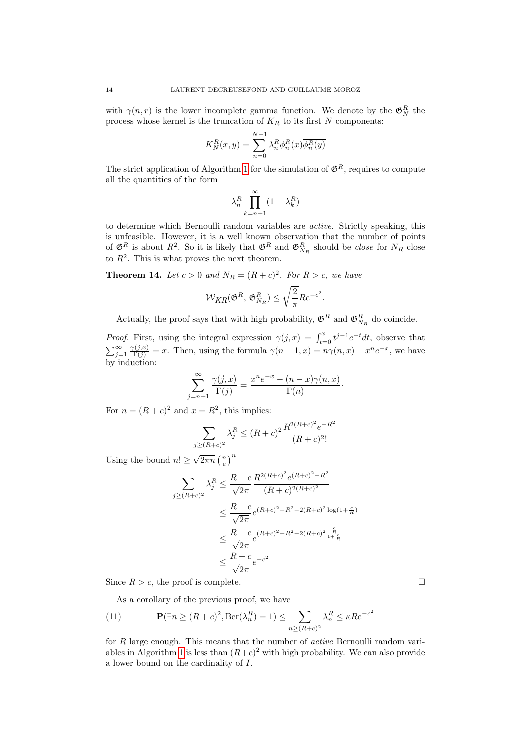with  $\gamma(n,r)$  is the lower incomplete gamma function. We denote by the  $\mathfrak{G}^R_N$  the process whose kernel is the truncation of  $K_R$  to its first N components:

$$
K_N^R(x, y) = \sum_{n=0}^{N-1} \lambda_n^R \phi_n^R(x) \overline{\phi_n^R(y)}
$$

The strict application of Algorithm 1 for the simulation of  $\mathfrak{G}^R$ , requires to compute all the quantities of the form

$$
\lambda_n^R \prod_{k=n+1}^\infty (1-\lambda_k^R)
$$

to determine which Bernoulli random variables are active. Strictly speaking, this is unfeasible. However, it is a well known observation that the number of points of  $\mathfrak{G}^R$  is about  $R^2$ . So it is likely that  $\mathfrak{G}^R$  and  $\mathfrak{G}^R_{N_R}$  should be *close* for  $N_R$  close to  $R^2$ . This is what proves the next theorem.

**Theorem 14.** Let  $c > 0$  and  $N_R = (R + c)^2$ . For  $R > c$ , we have

$$
\mathcal{W}_{KR}(\mathfrak{G}^R, \mathfrak{G}^R_{N_R}) \leq \sqrt{\frac{2}{\pi}} Re^{-c^2}.
$$

Actually, the proof says that with high probability,  $\mathfrak{G}^R$  and  $\mathfrak{G}^R_{N_R}$  do coincide.

*Proof.* First, using the integral expression  $\gamma(j, x) = \int_{t=0}^{x} t^{j-1} e^{-t} dt$ , observe that  $\sum_{j=1}^{\infty} \frac{\gamma(j,x)}{\Gamma(j)} = x$ . Then, using the formula  $\gamma(n+1,x) = n\gamma(n,x) - x^n e^{-x}$ , we have by induction:

$$
\sum_{j=n+1}^{\infty} \frac{\gamma(j,x)}{\Gamma(j)} = \frac{x^n e^{-x} - (n-x)\gamma(n,x)}{\Gamma(n)}.
$$

For  $n = (R + c)^2$  and  $x = R^2$ , this implies:

$$
\sum_{j \ge (R+c)^2} \lambda_j^R \le (R+c)^2 \frac{R^{2(R+c)^2} e^{-R^2}}{(R+c)^2!}
$$

Using the bound  $n! \geq \sqrt{2\pi n} \left(\frac{n}{e}\right)^n$ 

$$
\sum_{j \ge (R+c)^2} \lambda_j^R \le \frac{R+c}{\sqrt{2\pi}} \frac{R^{2(R+c)^2} e^{(R+c)^2 - R^2}}{(R+c)^{2(R+c)^2}}
$$
  

$$
\le \frac{R+c}{\sqrt{2\pi}} e^{(R+c)^2 - R^2 - 2(R+c)^2 \log(1+\frac{c}{R})}
$$
  

$$
\le \frac{R+c}{\sqrt{2\pi}} e^{(R+c)^2 - R^2 - 2(R+c)^2 \frac{\frac{c}{R}}{1+\frac{c}{R}}}
$$
  

$$
\le \frac{R+c}{\sqrt{2\pi}} e^{-c^2}
$$

Since  $R > c$ , the proof is complete.

As a corollary of the previous proof, we have

(11) 
$$
\mathbf{P}(\exists n \ge (R+c)^2, \text{Ber}(\lambda_n^R) = 1) \le \sum_{n \ge (R+c)^2} \lambda_n^R \le \kappa R e^{-c^2}
$$

for R large enough. This means that the number of active Bernoulli random variables in Algorithm 1 is less than  $(R+c)^2$  with high probability. We can also provide a lower bound on the cardinality of I.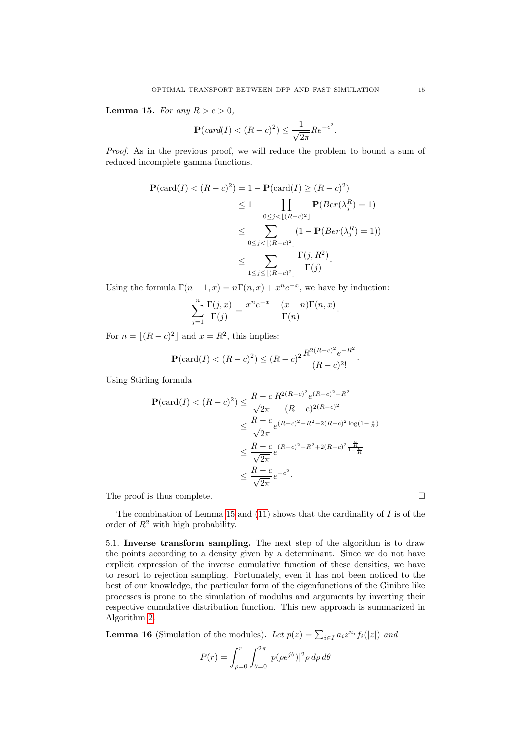Lemma 15. For any  $R > c > 0$ ,

$$
\mathbf{P}(card(I) < (R-c)^2) \le \frac{1}{\sqrt{2\pi}} Re^{-c^2}.
$$

Proof. As in the previous proof, we will reduce the problem to bound a sum of reduced incomplete gamma functions.

$$
\mathbf{P}(\text{card}(I) < (R - c)^2) = 1 - \mathbf{P}(\text{card}(I) \ge (R - c)^2) \\
 \le 1 - \prod_{0 \le j < \lfloor (R - c)^2 \rfloor} \mathbf{P}(Ber(\lambda_j^R) = 1) \\
 \le \sum_{0 \le j < \lfloor (R - c)^2 \rfloor} \frac{(1 - \mathbf{P}(Ber(\lambda_j^R) = 1))}{\Gamma(j)} \\
 \le \sum_{1 \le j \le \lfloor (R - c)^2 \rfloor} \frac{\Gamma(j, R^2)}{\Gamma(j)}.
$$

Using the formula  $\Gamma(n+1, x) = n\Gamma(n, x) + x^n e^{-x}$ , we have by induction:

$$
\sum_{j=1}^{n} \frac{\Gamma(j,x)}{\Gamma(j)} = \frac{x^{n}e^{-x} - (x-n)\Gamma(n,x)}{\Gamma(n)}.
$$

For  $n = \lfloor (R - c)^2 \rfloor$  and  $x = R^2$ , this implies:

$$
\mathbf{P}(\text{card}(I) < (R-c)^2) \le (R-c)^2 \frac{R^{2(R-c)^2} e^{-R^2}}{(R-c)^2!}.
$$

2

Using Stirling formula

$$
\mathbf{P}(\text{card}(I) < (R-c)^2) \le \frac{R-c}{\sqrt{2\pi}} \frac{R^{2(R-c)^2} e^{(R-c)^2 - R^2}}{(R-c)^{2(R-c)^2}} \\
\le \frac{R-c}{\sqrt{2\pi}} e^{(R-c)^2 - R^2 - 2(R-c)^2 \log(1 - \frac{c}{R})} \\
\le \frac{R-c}{\sqrt{2\pi}} e^{(R-c)^2 - R^2 + 2(R-c)^2 \frac{\frac{c}{R}}{1 - \frac{c}{R}}} \\
\le \frac{R-c}{\sqrt{2\pi}} e^{-c^2}.
$$

The proof is thus complete.

The combination of Lemma 15 and  $(11)$  shows that the cardinality of  $I$  is of the order of  $R^2$  with high probability.

5.1. Inverse transform sampling. The next step of the algorithm is to draw the points according to a density given by a determinant. Since we do not have explicit expression of the inverse cumulative function of these densities, we have to resort to rejection sampling. Fortunately, even it has not been noticed to the best of our knowledge, the particular form of the eigenfunctions of the Ginibre like processes is prone to the simulation of modulus and arguments by inverting their respective cumulative distribution function. This new approach is summarized in Algorithm 2.

**Lemma 16** (Simulation of the modules). Let  $p(z) = \sum_{i \in I} a_i z^{n_i} f_i(|z|)$  and

$$
P(r) = \int_{\rho=0}^{r} \int_{\theta=0}^{2\pi} |p(\rho e^{j\theta})|^2 \rho \, d\rho \, d\theta
$$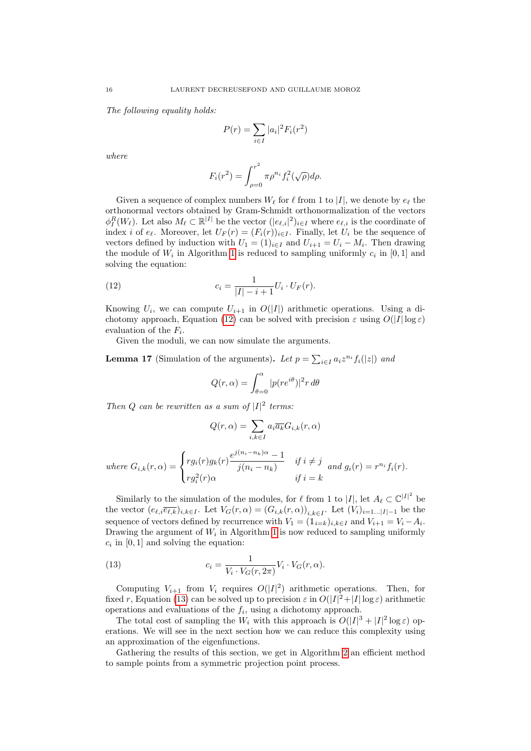The following equality holds:

$$
P(r) = \sum_{i \in I} |a_i|^2 F_i(r^2)
$$

where

$$
F_i(r^2) = \int_{\rho=0}^{r^2} \pi \rho^{n_i} f_i^2(\sqrt{\rho}) d\rho.
$$

Given a sequence of complex numbers  $W_{\ell}$  for  $\ell$  from 1 to |I|, we denote by  $e_{\ell}$  the orthonormal vectors obtained by Gram-Schmidt orthonormalization of the vectors  $\phi_I^R(W_\ell)$ . Let also  $M_\ell \subset \mathbb{R}^{|I|}$  be the vector  $(|e_{\ell,i}|^2)_{i\in I}$  where  $e_{\ell,i}$  is the coordinate of index i of  $e_\ell$ . Moreover, let  $U_F(r) = (F_i(r))_{i\in I}$ . Finally, let  $U_i$  be the sequence of vectors defined by induction with  $U_1 = (1)_{i \in I}$  and  $U_{i+1} = U_i - M_i$ . Then drawing the module of  $W_i$  in Algorithm 1 is reduced to sampling uniformly  $c_i$  in  $[0,1]$  and solving the equation:

(12) 
$$
c_i = \frac{1}{|I| - i + 1} U_i \cdot U_F(r).
$$

Knowing  $U_i$ , we can compute  $U_{i+1}$  in  $O(|I|)$  arithmetic operations. Using a dichotomy approach, Equation (12) can be solved with precision  $\varepsilon$  using  $O(|I|\log \varepsilon)$ evaluation of the  $F_i$ .

Given the moduli, we can now simulate the arguments.

**Lemma 17** (Simulation of the arguments). Let  $p = \sum_{i \in I} a_i z^{n_i} f_i(|z|)$  and

$$
Q(r,\alpha) = \int_{\theta=0}^{\alpha} |p(re^{i\theta})|^2 r d\theta
$$

Then Q can be rewritten as a sum of  $|I|^2$  terms:

$$
Q(r,\alpha) = \sum_{i,k \in I} a_i \overline{a_k} G_{i,k}(r,\alpha)
$$

where 
$$
G_{i,k}(r,\alpha) = \begin{cases} rg_i(r)g_k(r)\frac{e^{j(n_i-n_k)\alpha}-1}{j(n_i-n_k)} & \text{if } i \neq j \ q_i^2(r)\alpha & \text{if } i = k \end{cases}
$$
 and  $g_i(r) = r^{n_i}f_i(r)$ .

Similarly to the simulation of the modules, for  $\ell$  from 1 to |I|, let  $A_{\ell} \subset \mathbb{C}^{|I|^2}$  be the vector  $(e_{\ell,i}\overline{e_{\ell,k}})_{i,k\in I}$ . Let  $V_G(r,\alpha) = (G_{i,k}(r,\alpha))_{i,k\in I}$ . Let  $(V_i)_{i=1...|I|-1}$  be the sequence of vectors defined by recurrence with  $V_1 = (\mathbb{1}_{i=k})_{i,k\in I}$  and  $V_{i+1} = V_i - A_i$ . Drawing the argument of  $W_i$  in Algorithm 1 is now reduced to sampling uniformly  $c_i$  in [0, 1] and solving the equation:

(13) 
$$
c_i = \frac{1}{V_i \cdot V_G(r, 2\pi)} V_i \cdot V_G(r, \alpha).
$$

Computing  $V_{i+1}$  from  $V_i$  requires  $O(|I|^2)$  arithmetic operations. Then, for fixed r, Equation (13) can be solved up to precision  $\varepsilon$  in  $O(|I|^2 + |I|\log \varepsilon)$  arithmetic operations and evaluations of the  $f_i$ , using a dichotomy approach.

The total cost of sampling the  $W_i$  with this approach is  $O(|I|^3 + |I|^2 \log \varepsilon)$  operations. We will see in the next section how we can reduce this complexity using an approximation of the eigenfunctions.

Gathering the results of this section, we get in Algorithm 2 an efficient method to sample points from a symmetric projection point process.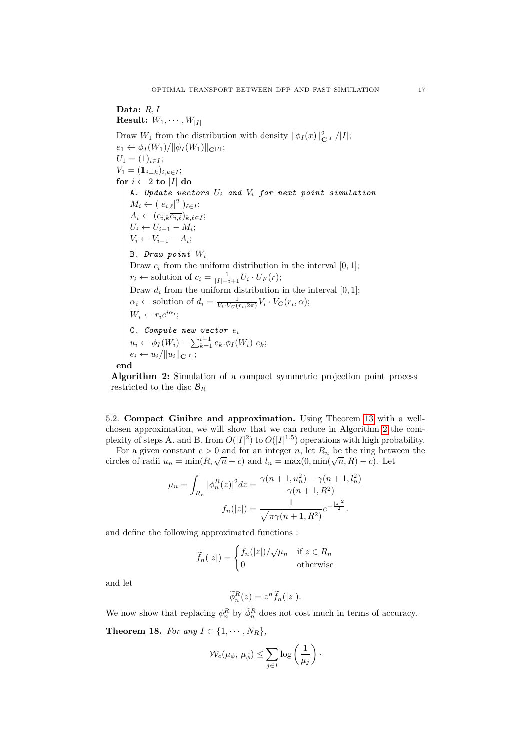## Data: R.I. **Result:**  $W_1, \cdots, W_{|I|}$ Draw  $W_1$  from the distribution with density  $\|\phi_I(x)\|_{\mathbf{C}^{|I|}}^2/|I|;$  $e_1 \leftarrow \phi_I(W_1)/\|\phi_I(W_1)\|_{\mathbf{C}^{|I|}};$  $U_1 = (1)_{i \in I};$  $V_1 = (\mathbb{1}_{i=k})_{i,k \in I};$ for  $i \leftarrow 2$  to |I| do A. Update vectors  $U_i$  and  $V_i$  for next point simulation  $M_i \leftarrow (|e_{i,\ell}|^2|)_{\ell \in I};$  $A_i \leftarrow (e_{i,k}\overline{e_{i,\ell}})_{k,\ell \in I};$  $U_i \leftarrow U_{i-1} - M_i;$  $V_i \leftarrow V_{i-1} - A_i;$ B. Draw point  $W_i$ Draw  $c_i$  from the uniform distribution in the interval  $[0, 1]$ ;  $r_i \leftarrow$  solution of  $c_i = \frac{1}{|I| - i + 1} U_i \cdot U_F(r);$ Draw  $d_i$  from the uniform distribution in the interval  $[0, 1]$ ;  $\alpha_i \leftarrow$  solution of  $d_i = \frac{1}{V_i \cdot V_G(r_i, 2\pi)} V_i \cdot V_G(r_i, \alpha);$  $W_i \leftarrow r_i e^{i\alpha_i};$ C. Compute new vector  $e_i$  $u_i \leftarrow \phi_I(W_i) - \sum_{k=1}^{i-1} e_k \phi_I(W_i) e_k;$  $e_i \leftarrow u_i/\Vert u_i \Vert_{\mathbf{C}^{\vert I \vert}};$ end

Algorithm 2: Simulation of a compact symmetric projection point process restricted to the disc  $\mathcal{B}_R$ 

5.2. Compact Ginibre and approximation. Using Theorem 13 with a wellchosen approximation, we will show that we can reduce in Algorithm 2 the complexity of steps A. and B. from  $O(|I|^2)$  to  $O(|I|^{1.5})$  operations with high probability.

For a given constant  $c > 0$  and for an integer n, let  $R_n$  be the ring between the circles of radii  $u_n = \min(R, \sqrt{n} + c)$  and  $l_n = \max(0, \min(\sqrt{n}, R) - c)$ . Let

$$
\mu_n = \int_{R_n} |\phi_n^R(z)|^2 dz = \frac{\gamma(n+1, u_n^2) - \gamma(n+1, l_n^2)}{\gamma(n+1, R^2)}
$$

$$
f_n(|z|) = \frac{1}{\sqrt{\pi \gamma(n+1, R^2)}} e^{-\frac{|z|^2}{2}}.
$$

and define the following approximated functions :

$$
\widetilde{f}_n(|z|) = \begin{cases} f_n(|z|) / \sqrt{\mu_n} & \text{if } z \in R_n \\ 0 & \text{otherwise} \end{cases}
$$

and let

$$
\widetilde{\phi}_n^R(z) = z^n \widetilde{f}_n(|z|).
$$

We now show that replacing  $\phi_n^R$  by  $\tilde{\phi}_n^R$  does not cost much in terms of accuracy. Theorem 18. For any  $I \subset \{1, \cdots, N_R\},\$ 

$$
\mathcal{W}_c(\mu_\phi, \mu_{\tilde{\phi}}) \leq \sum_{j \in I} \log \left( \frac{1}{\mu_j} \right).
$$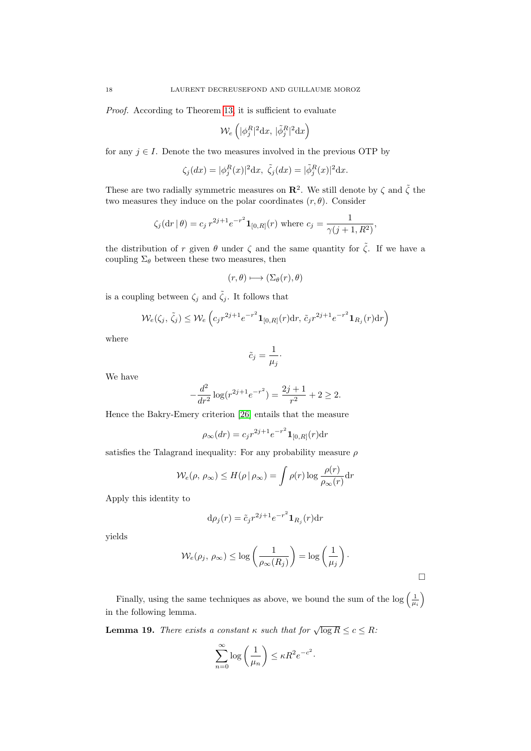Proof. According to Theorem 13, it is sufficient to evaluate

$$
\mathcal{W}_{e}\left(|\phi_j^R|^2\mathrm{d}x,\,|\tilde{\phi}_j^R|^2\mathrm{d}x\right)
$$

for any  $j \in I$ . Denote the two measures involved in the previous OTP by

$$
\zeta_j(dx) = |\phi_j^R(x)|^2 dx, \ \tilde{\zeta}_j(dx) = |\tilde{\phi}_j^R(x)|^2 dx.
$$

These are two radially symmetric measures on  $\mathbb{R}^2$ . We still denote by  $\zeta$  and  $\tilde{\zeta}$  the two measures they induce on the polar coordinates  $(r, \theta)$ . Consider

$$
\zeta_j(\mathrm{d}r|\theta) = c_j r^{2j+1} e^{-r^2} \mathbf{1}_{[0,R]}(r)
$$
 where  $c_j = \frac{1}{\gamma(j+1,R^2)}$ ,

the distribution of r given  $\theta$  under  $\zeta$  and the same quantity for  $\tilde{\zeta}$ . If we have a coupling  $\Sigma_\theta$  between these two measures, then

$$
(r,\theta)\longmapsto (\Sigma_{\theta}(r),\theta)
$$

is a coupling between  $\zeta_j$  and  $\tilde{\zeta}_j$ . It follows that

$$
\mathcal{W}_e(\zeta_j, \tilde{\zeta}_j) \le \mathcal{W}_e\left(c_j r^{2j+1} e^{-r^2} \mathbf{1}_{[0,R]}(r) dr, \tilde{c}_j r^{2j+1} e^{-r^2} \mathbf{1}_{R_j}(r) dr\right)
$$

where

$$
\tilde{c}_j = \frac{1}{\mu_j} \cdot
$$

We have

$$
-\frac{d^2}{dr^2}\log(r^{2j+1}e^{-r^2}) = \frac{2j+1}{r^2} + 2 \ge 2.
$$

Hence the Bakry-Emery criterion [26] entails that the measure

$$
\rho_{\infty}(dr) = c_j r^{2j+1} e^{-r^2} \mathbf{1}_{[0,R]}(r) dr
$$

satisfies the Talagrand inequality: For any probability measure  $\rho$ 

$$
W_e(\rho, \rho_\infty) \le H(\rho | \rho_\infty) = \int \rho(r) \log \frac{\rho(r)}{\rho_\infty(r)} dr
$$

Apply this identity to

$$
\mathrm{d}\rho_j(r)=\tilde{c}_jr^{2j+1}e^{-r^2}\mathbf{1}_{R_j}(r)\mathrm{d}r
$$

yields

$$
\mathcal{W}_e(\rho_j, \, \rho_\infty) \leq \log\left(\frac{1}{\rho_\infty(R_j)}\right) = \log\left(\frac{1}{\mu_j}\right).
$$

 $\Box$ 

Finally, using the same techniques as above, we bound the sum of the  $\log\left(\frac{1}{\mu_i}\right)$ in the following lemma.

**Lemma 19.** There exists a constant  $\kappa$  such that for  $\sqrt{\log R} \le c \le R$ .

$$
\sum_{n=0}^{\infty} \log \left( \frac{1}{\mu_n} \right) \le \kappa R^2 e^{-c^2}.
$$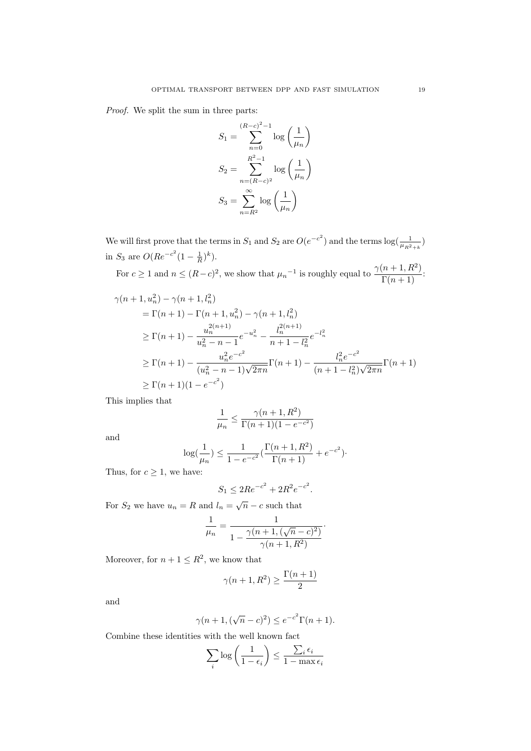Proof. We split the sum in three parts:

$$
S_1 = \sum_{n=0}^{(R-c)^2-1} \log\left(\frac{1}{\mu_n}\right)
$$

$$
S_2 = \sum_{n=(R-c)^2}^{R^2-1} \log\left(\frac{1}{\mu_n}\right)
$$

$$
S_3 = \sum_{n=R^2}^{\infty} \log\left(\frac{1}{\mu_n}\right)
$$

We will first prove that the terms in  $S_1$  and  $S_2$  are  $O(e^{-c^2})$  and the terms  $log(\frac{1}{\mu_{R^2+k}})$ in  $S_3$  are  $O(Re^{-c^2}(1-\frac{1}{R})^k)$ .

For  $c \ge 1$  and  $n \le (R-c)^2$ , we show that  $\mu_n^{-1}$  is roughly equal to  $\frac{\gamma(n+1, R^2)}{\Gamma(n+1)}$ :

$$
\gamma(n+1, u_n^2) - \gamma(n+1, l_n^2)
$$
  
=  $\Gamma(n+1) - \Gamma(n+1, u_n^2) - \gamma(n+1, l_n^2)$   

$$
\geq \Gamma(n+1) - \frac{u_n^{2(n+1)}}{u_n^2 - n - 1} e^{-u_n^2} - \frac{l_n^{2(n+1)}}{n+1 - l_n^2} e^{-l_n^2}
$$
  

$$
\geq \Gamma(n+1) - \frac{u_n^2 e^{-c^2}}{(u_n^2 - n - 1)\sqrt{2\pi n}} \Gamma(n+1) - \frac{l_n^2 e^{-c^2}}{(n+1 - l_n^2)\sqrt{2\pi n}} \Gamma(n+1)
$$
  

$$
\geq \Gamma(n+1)(1 - e^{-c^2})
$$

This implies that

$$
\frac{1}{\mu_n} \leq \frac{\gamma(n+1,R^2)}{\Gamma(n+1)(1-e^{-c^2})}
$$

and

$$
\log(\frac{1}{\mu_n}) \le \frac{1}{1 - e^{-c^2}} \left( \frac{\Gamma(n+1, R^2)}{\Gamma(n+1)} + e^{-c^2} \right).
$$

Thus, for  $c \geq 1$ , we have:

$$
S_1 \le 2Re^{-c^2} + 2R^2e^{-c^2}.
$$

For  $S_2$  we have  $u_n = R$  and  $l_n = \sqrt{n} - c$  such that

$$
\frac{1}{\mu_n} = \frac{1}{1 - \frac{\gamma(n+1)(\sqrt{n} - c)^2}{\gamma(n+1, R^2)}}
$$

·

Moreover, for  $n+1 \leq R^2$ , we know that

$$
\gamma(n+1, R^2) \ge \frac{\Gamma(n+1)}{2}
$$

and

$$
\gamma(n+1, (\sqrt{n}-c)^2) \le e^{-c^2} \Gamma(n+1).
$$

Combine these identities with the well known fact

$$
\sum_i \log\left(\frac{1}{1-\epsilon_i}\right) \leq \frac{\sum_i \epsilon_i}{1-\max \epsilon_i}
$$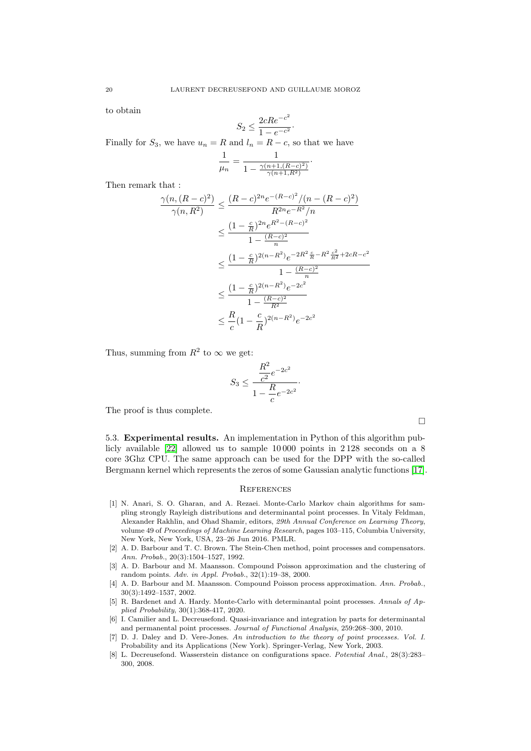to obtain

$$
S_2 \le \frac{2cRe^{-c^2}}{1 - e^{-c^2}}.
$$

Finally for  $S_3$ , we have  $u_n = R$  and  $l_n = R - c$ , so that we have

$$
\frac{1}{\mu_n} = \frac{1}{1 - \frac{\gamma(n+1)(R-c)^2}{\gamma(n+1,R^2)}}.
$$

Then remark that :

$$
\frac{\gamma(n,(R-c)^2)}{\gamma(n,R^2)} \le \frac{(R-c)^{2n}e^{-(R-c)^2}/(n-(R-c)^2)}{R^{2n}e^{-R^2}/n}
$$

$$
\le \frac{(1-\frac{c}{R})^{2n}e^{R^2-(R-c)^2}}{1-\frac{(R-c)^2}{n}}
$$

$$
\le \frac{(1-\frac{c}{R})^{2(n-R^2)}e^{-2R^2\frac{c}{R}-R^2\frac{c^2}{R^2}+2cR-c^2}}{1-\frac{(R-c)^2}{n}}
$$

$$
\le \frac{(1-\frac{c}{R})^{2(n-R^2)}e^{-2c^2}}{1-\frac{(R-c)^2}{R^2}}
$$

$$
\le \frac{R}{c}(1-\frac{c}{R})^{2(n-R^2)}e^{-2c^2}
$$

Thus, summing from  $R^2$  to  $\infty$  we get:

$$
S_3 \le \frac{\frac{R^2}{c^2}e^{-2c^2}}{1 - \frac{R}{c}e^{-2c^2}}.
$$

 $\mathbf{E}^2$ 

The proof is thus complete.

5.3. Experimental results. An implementation in Python of this algorithm publicly available [22] allowed us to sample 10 000 points in 2 128 seconds on a 8 core 3Ghz CPU. The same approach can be used for the DPP with the so-called Bergmann kernel which represents the zeros of some Gaussian analytic functions [17].

#### **REFERENCES**

- [1] N. Anari, S. O. Gharan, and A. Rezaei. Monte-Carlo Markov chain algorithms for sampling strongly Rayleigh distributions and determinantal point processes. In Vitaly Feldman, Alexander Rakhlin, and Ohad Shamir, editors, 29th Annual Conference on Learning Theory, volume 49 of Proceedings of Machine Learning Research, pages 103–115, Columbia University, New York, New York, USA, 23–26 Jun 2016. PMLR.
- [2] A. D. Barbour and T. C. Brown. The Stein-Chen method, point processes and compensators. Ann. Probab., 20(3):1504–1527, 1992.
- [3] A. D. Barbour and M. Maansson. Compound Poisson approximation and the clustering of random points. Adv. in Appl. Probab., 32(1):19–38, 2000.
- [4] A. D. Barbour and M. Maansson. Compound Poisson process approximation. Ann. Probab., 30(3):1492–1537, 2002.
- [5] R. Bardenet and A. Hardy. Monte-Carlo with determinantal point processes. Annals of Applied Probability, 30(1):368-417, 2020.
- [6] I. Camilier and L. Decreusefond. Quasi-invariance and integration by parts for determinantal and permanental point processes. Journal of Functional Analysis, 259:268–300, 2010.
- [7] D. J. Daley and D. Vere-Jones. An introduction to the theory of point processes. Vol. I. Probability and its Applications (New York). Springer-Verlag, New York, 2003.
- [8] L. Decreusefond. Wasserstein distance on configurations space. Potential Anal., 28(3):283– 300, 2008.

 $\Box$